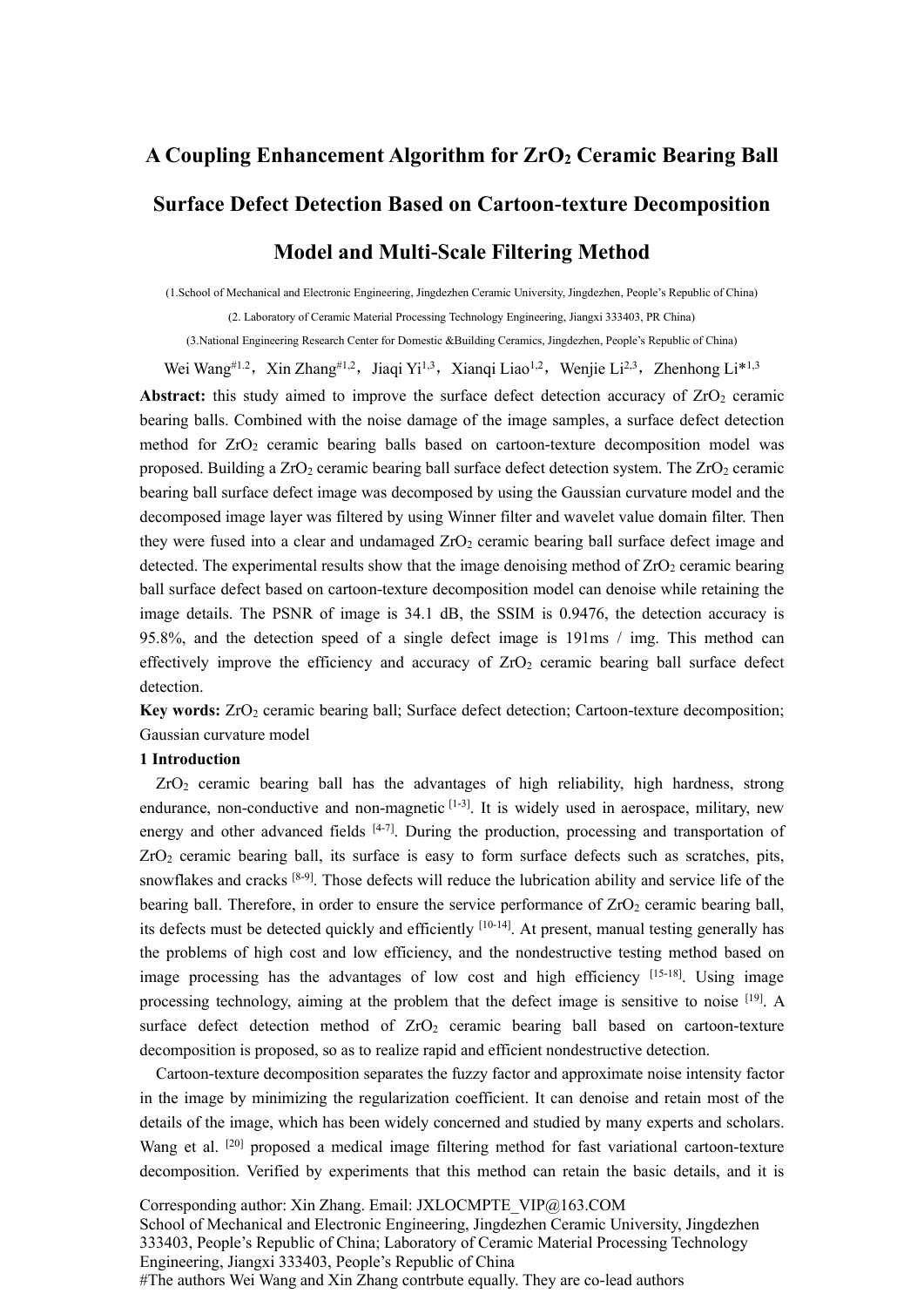# **A Coupling Enhancement Algorithm for ZrO<sup>2</sup> Ceramic Bearing Ball Surface Defect Detection Based on Cartoon-texture Decomposition Model and Multi-Scale Filtering Method**

(1.School of Mechanical and Electronic Engineering, Jingdezhen Ceramic University, Jingdezhen, People's Republic of China)

(2. Laboratory of Ceramic Material Processing Technology Engineering, Jiangxi 333403, PR China)

(3.National Engineering Research Center for Domestic &Building Ceramics, Jingdezhen, People's Republic of China)

Wei Wang#1.2, Xin Zhang#1.2, Jiaqi Yi<sup>1,3</sup>, Xianqi Liao<sup>1,2</sup>, Wenjie Li<sup>2,3</sup>, Zhenhong Li\*<sup>1,3</sup>

**Abstract:** this study aimed to improve the surface defect detection accuracy of  $ZrO<sub>2</sub>$  ceramic bearing balls. Combined with the noise damage of the image samples, a surface defect detection method for ZrO<sub>2</sub> ceramic bearing balls based on cartoon-texture decomposition model was proposed. Building a  $ZrO<sub>2</sub>$  ceramic bearing ball surface defect detection system. The  $ZrO<sub>2</sub>$  ceramic bearing ball surface defect image was decomposed by using the Gaussian curvature model and the decomposed image layer was filtered by using Winner filter and wavelet value domain filter. Then they were fused into a clear and undamaged  $ZrO<sub>2</sub>$  ceramic bearing ball surface defect image and detected. The experimental results show that the image denoising method of  $ZrO<sub>2</sub>$  ceramic bearing ball surface defect based on cartoon-texture decomposition model can denoise while retaining the image details. The PSNR of image is 34.1 dB, the SSIM is 0.9476, the detection accuracy is 95.8%, and the detection speed of a single defect image is 191ms / img. This method can effectively improve the efficiency and accuracy of  $ZrO<sub>2</sub>$  ceramic bearing ball surface defect detection.

**Key words:** ZrO<sub>2</sub> ceramic bearing ball; Surface defect detection; Cartoon-texture decomposition; Gaussian curvature model

# **1 Introduction**

ZrO<sup>2</sup> ceramic bearing ball has the advantages of high reliability, high hardness, strong endurance, non-conductive and non-magnetic  $[1-3]$ . It is widely used in aerospace, military, new energy and other advanced fields [4-7]. During the production, processing and transportation of ZrO<sup>2</sup> ceramic bearing ball, its surface is easy to form surface defects such as scratches, pits, snowflakes and cracks [8-9]. Those defects will reduce the lubrication ability and service life of the bearing ball. Therefore, in order to ensure the service performance of ZrO<sub>2</sub> ceramic bearing ball, its defects must be detected quickly and efficiently [10-14]. At present, manual testing generally has the problems of high cost and low efficiency, and the nondestructive testing method based on image processing has the advantages of low cost and high efficiency [15-18]. Using image processing technology, aiming at the problem that the defect image is sensitive to noise [19]. A surface defect detection method of  $ZrO<sub>2</sub>$  ceramic bearing ball based on cartoon-texture decomposition is proposed, so as to realize rapid and efficient nondestructive detection.

Cartoon-texture decomposition separates the fuzzy factor and approximate noise intensity factor in the image by minimizing the regularization coefficient. It can denoise and retain most of the details of the image, which has been widely concerned and studied by many experts and scholars. Wang et al. <sup>[20]</sup> proposed a medical image filtering method for fast variational cartoon-texture decomposition. Verified by experiments that this method can retain the basic details, and it is

Corresponding author: Xin Zhang. Email: JXLOCMPTE\_VIP@163.COM School of Mechanical and Electronic Engineering, Jingdezhen Ceramic University, Jingdezhen 333403, People's Republic of China; Laboratory of Ceramic Material Processing Technology Engineering, Jiangxi 333403, People's Republic of China #The authors Wei Wang and Xin Zhang contrbute equally. They are co-lead authors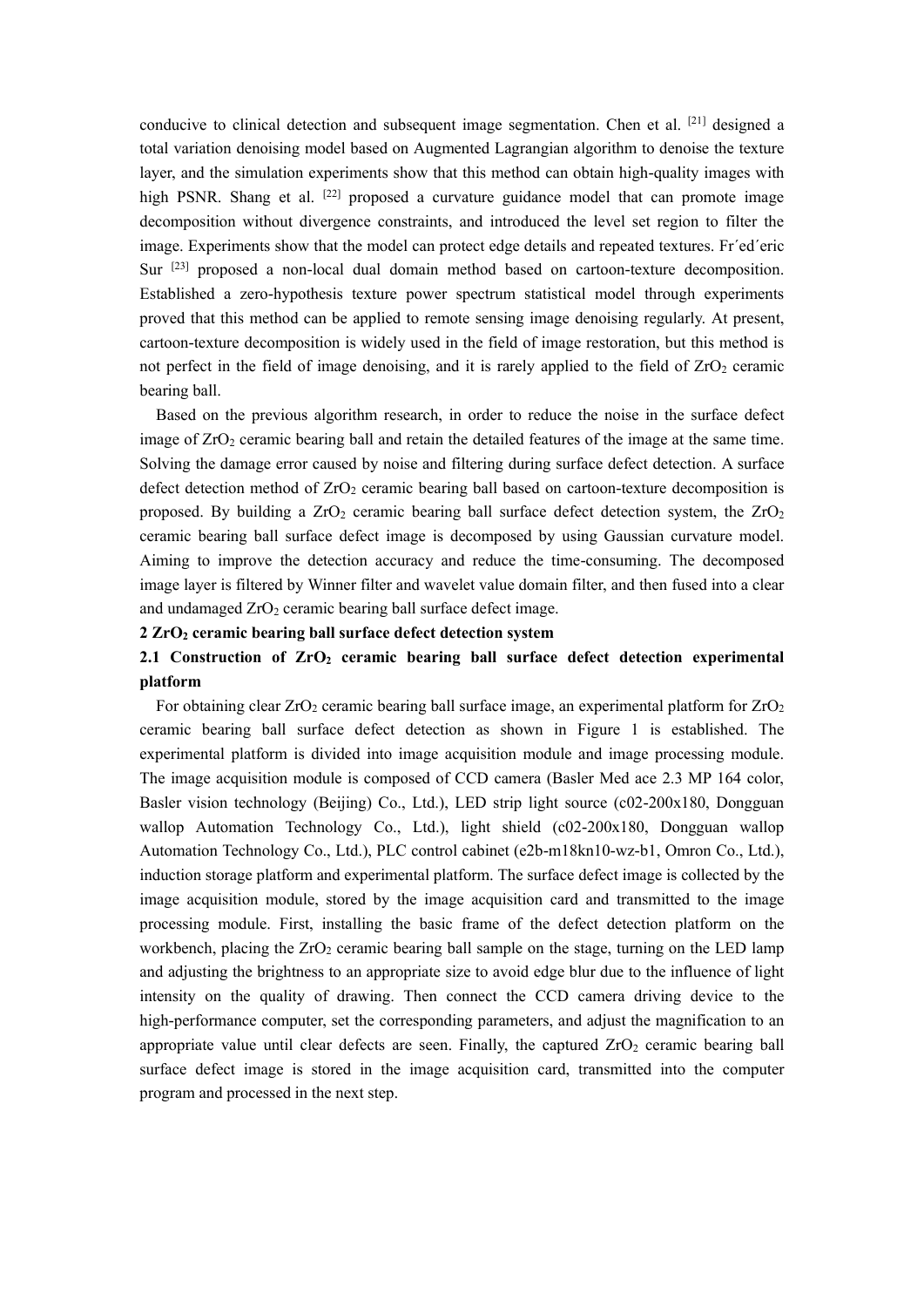conducive to clinical detection and subsequent image segmentation. Chen et al. [21] designed a total variation denoising model based on Augmented Lagrangian algorithm to denoise the texture layer, and the simulation experiments show that this method can obtain high-quality images with high PSNR. Shang et al. <sup>[22]</sup> proposed a curvature guidance model that can promote image decomposition without divergence constraints, and introduced the level set region to filter the image. Experiments show that the model can protect edge details and repeated textures. Fr´ed´eric Sur <sup>[23]</sup> proposed a non-local dual domain method based on cartoon-texture decomposition. Established a zero-hypothesis texture power spectrum statistical model through experiments proved that this method can be applied to remote sensing image denoising regularly. At present, cartoon-texture decomposition is widely used in the field of image restoration, but this method is not perfect in the field of image denoising, and it is rarely applied to the field of  $ZrO<sub>2</sub>$  ceramic bearing ball.

Based on the previous algorithm research, in order to reduce the noise in the surface defect image of  $ZrO<sub>2</sub>$  ceramic bearing ball and retain the detailed features of the image at the same time. Solving the damage error caused by noise and filtering during surface defect detection. A surface defect detection method of  $ZrO<sub>2</sub>$  ceramic bearing ball based on cartoon-texture decomposition is proposed. By building a  $ZrO<sub>2</sub>$  ceramic bearing ball surface defect detection system, the  $ZrO<sub>2</sub>$ ceramic bearing ball surface defect image is decomposed by using Gaussian curvature model. Aiming to improve the detection accuracy and reduce the time-consuming. The decomposed image layer is filtered by Winner filter and wavelet value domain filter, and then fused into a clear and undamaged  $ZrO<sub>2</sub>$  ceramic bearing ball surface defect image.

## **2 ZrO<sup>2</sup> ceramic bearing ball surface defect detection system**

# **2.1 Construction of ZrO<sup>2</sup> ceramic bearing ball surface defect detection experimental platform**

For obtaining clear  $ZrO<sub>2</sub>$  ceramic bearing ball surface image, an experimental platform for  $ZrO<sub>2</sub>$ ceramic bearing ball surface defect detection as shown in Figure 1 is established. The experimental platform is divided into image acquisition module and image processing module. The image acquisition module is composed of CCD camera (Basler Med ace 2.3 MP 164 color, Basler vision technology (Beijing) Co., Ltd.), LED strip light source (c02-200x180, Dongguan wallop Automation Technology Co., Ltd.), light shield (c02-200x180, Dongguan wallop Automation Technology Co., Ltd.), PLC control cabinet (e2b-m18kn10-wz-b1, Omron Co., Ltd.), induction storage platform and experimental platform. The surface defect image is collected by the image acquisition module, stored by the image acquisition card and transmitted to the image processing module. First, installing the basic frame of the defect detection platform on the workbench, placing the  $ZrO<sub>2</sub>$  ceramic bearing ball sample on the stage, turning on the LED lamp and adjusting the brightness to an appropriate size to avoid edge blur due to the influence of light intensity on the quality of drawing. Then connect the CCD camera driving device to the high-performance computer, set the corresponding parameters, and adjust the magnification to an appropriate value until clear defects are seen. Finally, the captured  $ZrO<sub>2</sub>$  ceramic bearing ball surface defect image is stored in the image acquisition card, transmitted into the computer program and processed in the next step.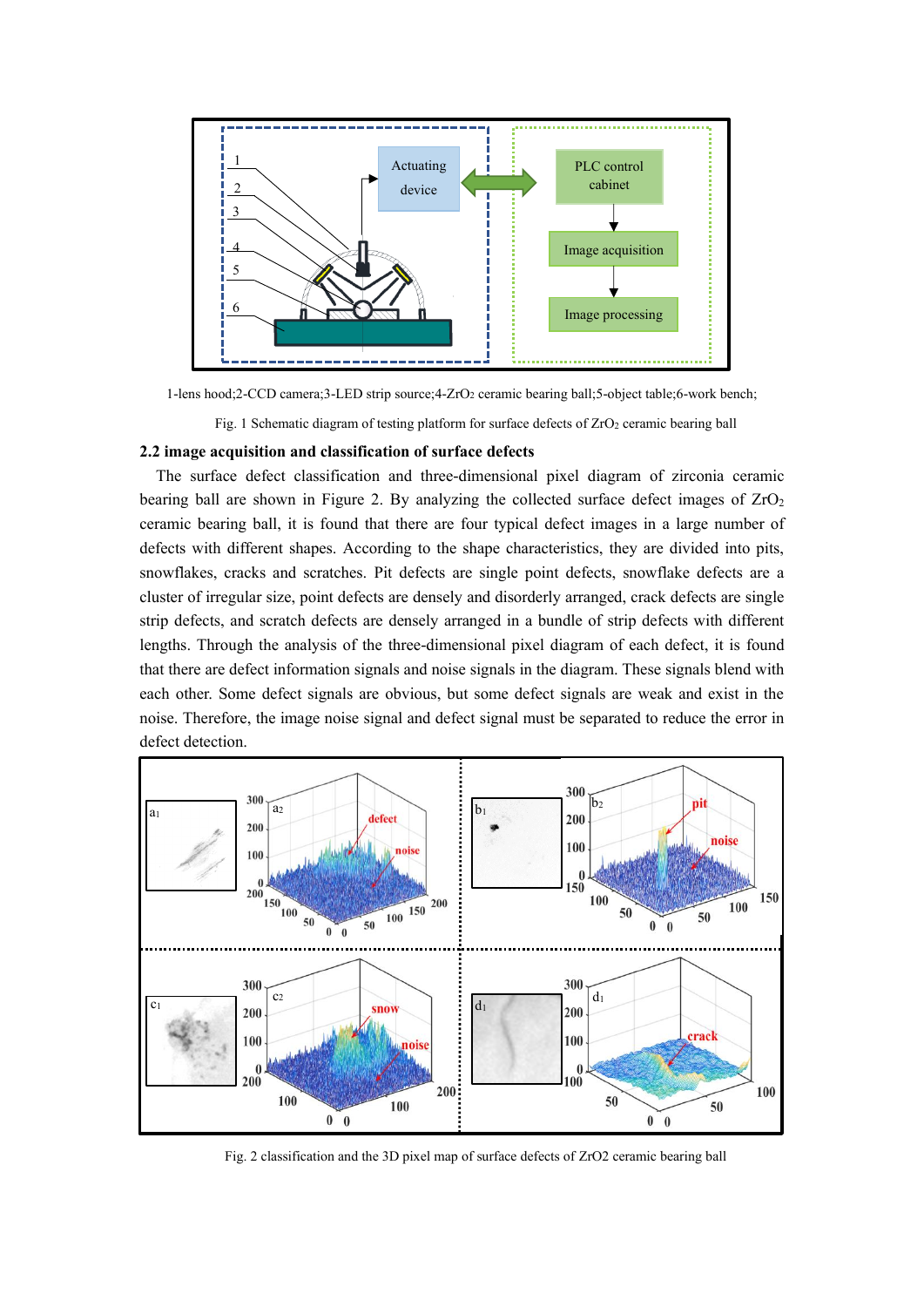

1-lens hood;2-CCD camera;3-LED strip source;4-ZrO<sup>2</sup> ceramic bearing ball;5-object table;6-work bench;

Fig. 1 Schematic diagram of testing platform for surface defects of  $ZrO<sub>2</sub>$  ceramic bearing ball

## **2.2 image acquisition and classification of surface defects**

The surface defect classification and three-dimensional pixel diagram of zirconia ceramic bearing ball are shown in Figure 2. By analyzing the collected surface defect images of  $ZrO<sub>2</sub>$ ceramic bearing ball, it is found that there are four typical defect images in a large number of defects with different shapes. According to the shape characteristics, they are divided into pits, snowflakes, cracks and scratches. Pit defects are single point defects, snowflake defects are a cluster of irregular size, point defects are densely and disorderly arranged, crack defects are single strip defects, and scratch defects are densely arranged in a bundle of strip defects with different lengths. Through the analysis of the three-dimensional pixel diagram of each defect, it is found that there are defect information signals and noise signals in the diagram. These signals blend with each other. Some defect signals are obvious, but some defect signals are weak and exist in the noise. Therefore, the image noise signal and defect signal must be separated to reduce the error in defect detection.



Fig. 2 classification and the 3D pixel map of surface defects of ZrO2 ceramic bearing ball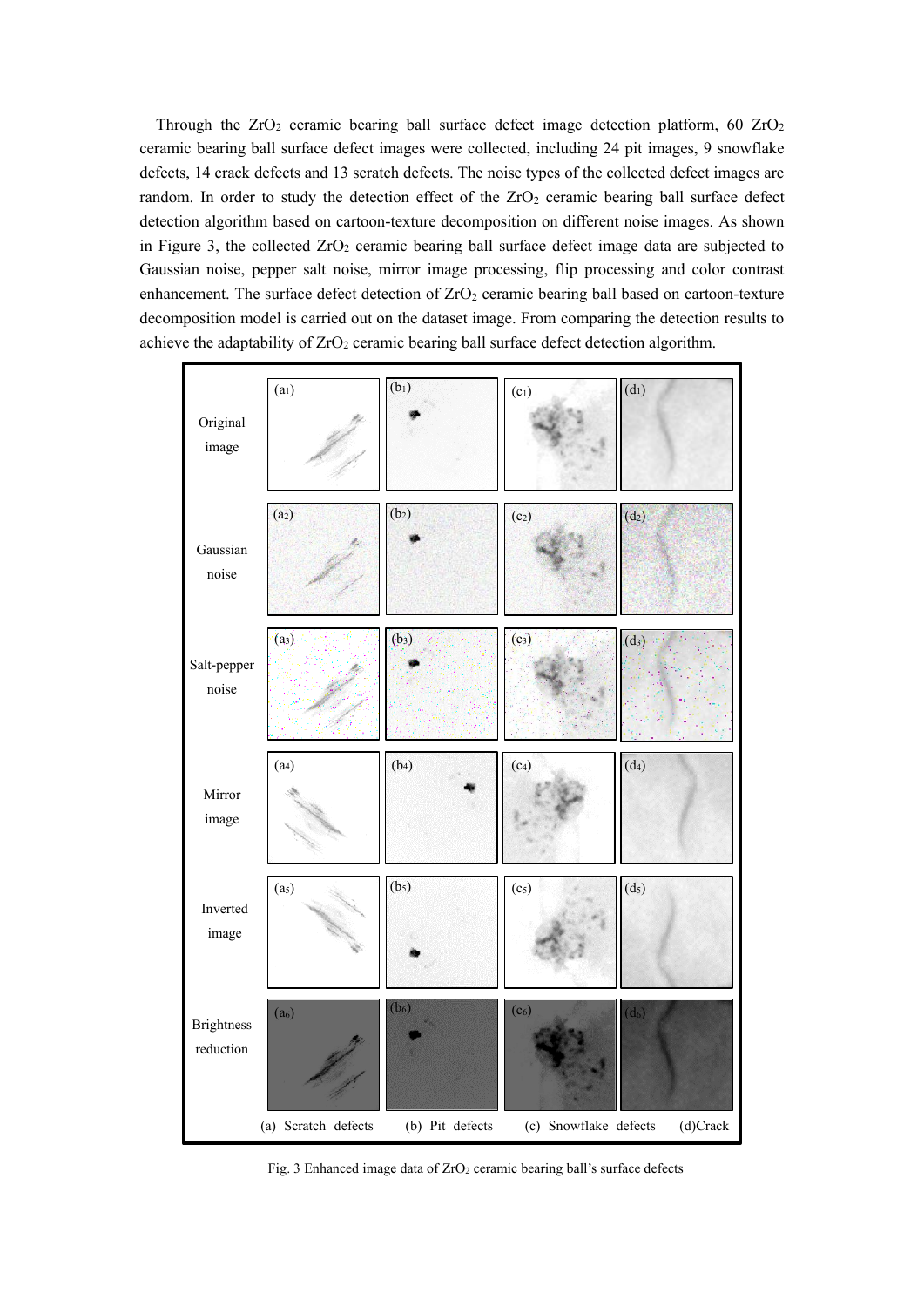Through the  $ZrO<sub>2</sub>$  ceramic bearing ball surface defect image detection platform, 60  $ZrO<sub>2</sub>$ ceramic bearing ball surface defect images were collected, including 24 pit images, 9 snowflake defects, 14 crack defects and 13 scratch defects. The noise types of the collected defect images are random. In order to study the detection effect of the  $ZrO<sub>2</sub>$  ceramic bearing ball surface defect detection algorithm based on cartoon-texture decomposition on different noise images. As shown in Figure 3, the collected  $ZrO<sub>2</sub>$  ceramic bearing ball surface defect image data are subjected to Gaussian noise, pepper salt noise, mirror image processing, flip processing and color contrast enhancement. The surface defect detection of ZrO<sub>2</sub> ceramic bearing ball based on cartoon-texture decomposition model is carried out on the dataset image. From comparing the detection results to achieve the adaptability of  $ZrO<sub>2</sub>$  ceramic bearing ball surface defect detection algorithm.



Fig. 3 Enhanced image data of  $ZrO<sub>2</sub>$  ceramic bearing ball's surface defects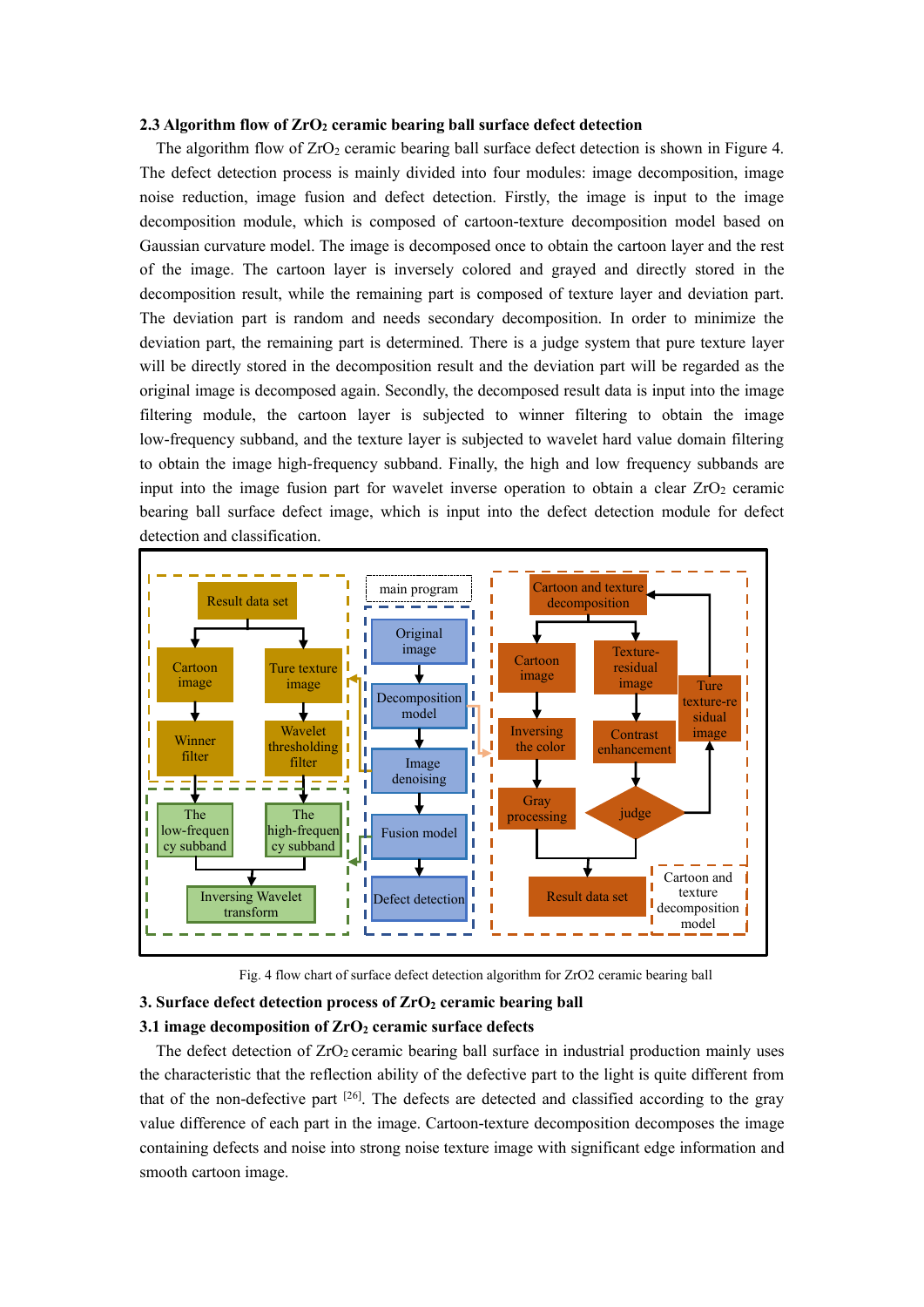#### **2.3 Algorithm flow of ZrO<sup>2</sup> ceramic bearing ball surface defect detection**

The algorithm flow of  $ZrO<sub>2</sub>$  ceramic bearing ball surface defect detection is shown in Figure 4. The defect detection process is mainly divided into four modules: image decomposition, image noise reduction, image fusion and defect detection. Firstly, the image is input to the image decomposition module, which is composed of cartoon-texture decomposition model based on Gaussian curvature model. The image is decomposed once to obtain the cartoon layer and the rest of the image. The cartoon layer is inversely colored and grayed and directly stored in the decomposition result, while the remaining part is composed of texture layer and deviation part. The deviation part is random and needs secondary decomposition. In order to minimize the deviation part, the remaining part is determined. There is a judge system that pure texture layer will be directly stored in the decomposition result and the deviation part will be regarded as the original image is decomposed again. Secondly, the decomposed result data is input into the image filtering module, the cartoon layer is subjected to winner filtering to obtain the image low-frequency subband, and the texture layer is subjected to wavelet hard value domain filtering to obtain the image high-frequency subband. Finally, the high and low frequency subbands are input into the image fusion part for wavelet inverse operation to obtain a clear  $ZrO<sub>2</sub>$  ceramic bearing ball surface defect image, which is input into the defect detection module for defect detection and classification.



Fig. 4 flow chart of surface defect detection algorithm for ZrO2 ceramic bearing ball

# **3. Surface defect detection process of ZrO<sup>2</sup> ceramic bearing ball**

#### **3.1 image decomposition of ZrO<sup>2</sup> ceramic surface defects**

The defect detection of  $ZrO<sub>2</sub>$  ceramic bearing ball surface in industrial production mainly uses the characteristic that the reflection ability of the defective part to the light is quite different from that of the non-defective part <sup>[26]</sup>. The defects are detected and classified according to the gray value difference of each part in the image. Cartoon-texture decomposition decomposes the image containing defects and noise into strong noise texture image with significant edge information and smooth cartoon image.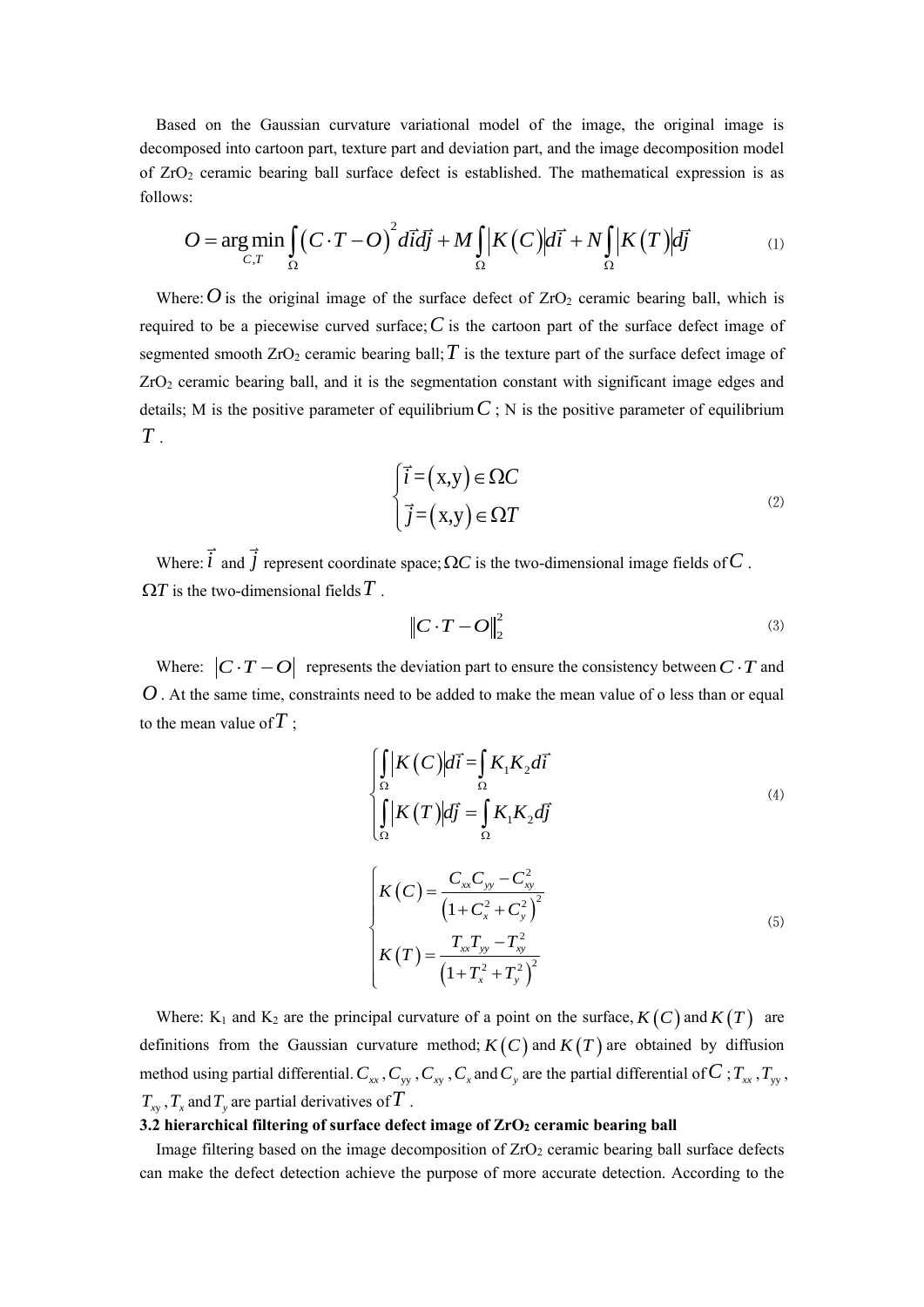Based on the Gaussian curvature variational model of the image, the original image is decomposed into cartoon part, texture part and deviation part, and the image decomposition model of  $ZrO<sub>2</sub>$  ceramic bearing ball surface defect is established. The mathematical expression is as follows: ead into cartoon part, texture part and deviation part, and the image decomposition model<br>
eeramic bearing ball surface defect is established. The mathematical expression is as<br>  $= \arg \min_{C,T} \int_{\Omega} (C \cdot T - O)^2 d\vec{l} d\vec{j} + M \int_{\Omega}$ 

$$
O = \underset{C,T}{\arg\min} \int_{\Omega} \left( C \cdot T - O \right)^2 d\vec{l} d\vec{j} + M \int_{\Omega} \left| K \left( C \right) \right| d\vec{l} + N \int_{\Omega} \left| K \left( T \right) \right| d\vec{j} \tag{1}
$$

Where:  $O$  is the original image of the surface defect of  $ZrO<sub>2</sub>$  ceramic bearing ball, which is required to be a piecewise curved surface;  $C$  is the cartoon part of the surface defect image of segmented smooth  $ZrO_2$  ceramic bearing ball;  $T$  is the texture part of the surface defect image of ZrO<sup>2</sup> ceramic bearing ball, and it is the segmentation constant with significant image edges and details; M is the positive parameter of equilibrium  $C$ ; N is the positive parameter of equilibrium *T* .

$$
\begin{cases}\n\vec{i} = (x, y) \in \Omega C \\
\vec{j} = (x, y) \in \Omega T\n\end{cases}
$$
\n(2)

Where:  $\hat{i}$  and  $\hat{j}$  represent coordinate space;  $\Omega C$  is the two-dimensional image fields of  $C$ .  $\Omega T$  is the two-dimensional fields  $\overline{T}$  .

$$
\left\|C \cdot T - O\right\|_{2}^{2} \tag{3}
$$

Where:  $|C \cdot T - O|$  represents the deviation part to ensure the consistency between  $C \cdot T$  and *O*. At the same time, constraints need to be added to make the mean value of o less than or equal to the mean value of  $\overline{T}$ ;

$$
\begin{cases}\n\int_{\Omega} |K(C)| d\vec{i} = \int_{\Omega} K_1 K_2 d\vec{i} \\
\int_{\Omega} |K(T)| d\vec{j} = \int_{\Omega} K_1 K_2 d\vec{j}\n\end{cases}
$$
\n
$$
\begin{cases}\nK(C) = \frac{C_{xx}C_{yy} - C_{xy}^2}{\left(1 + C_x^2 + C_y^2\right)^2} \\
K(T) = \frac{T_{xx}T_{yy} - T_{xy}^2}{\left(1 + T_x^2 + T_y^2\right)^2}\n\end{cases}
$$
\n(5)

Where: K<sub>1</sub> and K<sub>2</sub> are the principal curvature of a point on the surface,  $K(C)$  and  $K(T)$  are definitions from the Gaussian curvature method;  $K(C)$  and  $K(T)$  are obtained by diffusion method using partial differential.  $C_{xx}$ ,  $C_{yy}$ ,  $C_{xy}$ ,  $C_x$  and  $C_y$  are the partial differential of  $C$ ;  $T_{xx}$ ,  $T_{yy}$ ,  $T_{xy}$ ,  $T_x$  and  $T_y$  are partial derivatives of  $\overline{T}$  .

# **3.2 hierarchical filtering of surface defect image of ZrO<sup>2</sup> ceramic bearing ball**

Image filtering based on the image decomposition of  $ZrO<sub>2</sub>$  ceramic bearing ball surface defects can make the defect detection achieve the purpose of more accurate detection. According to the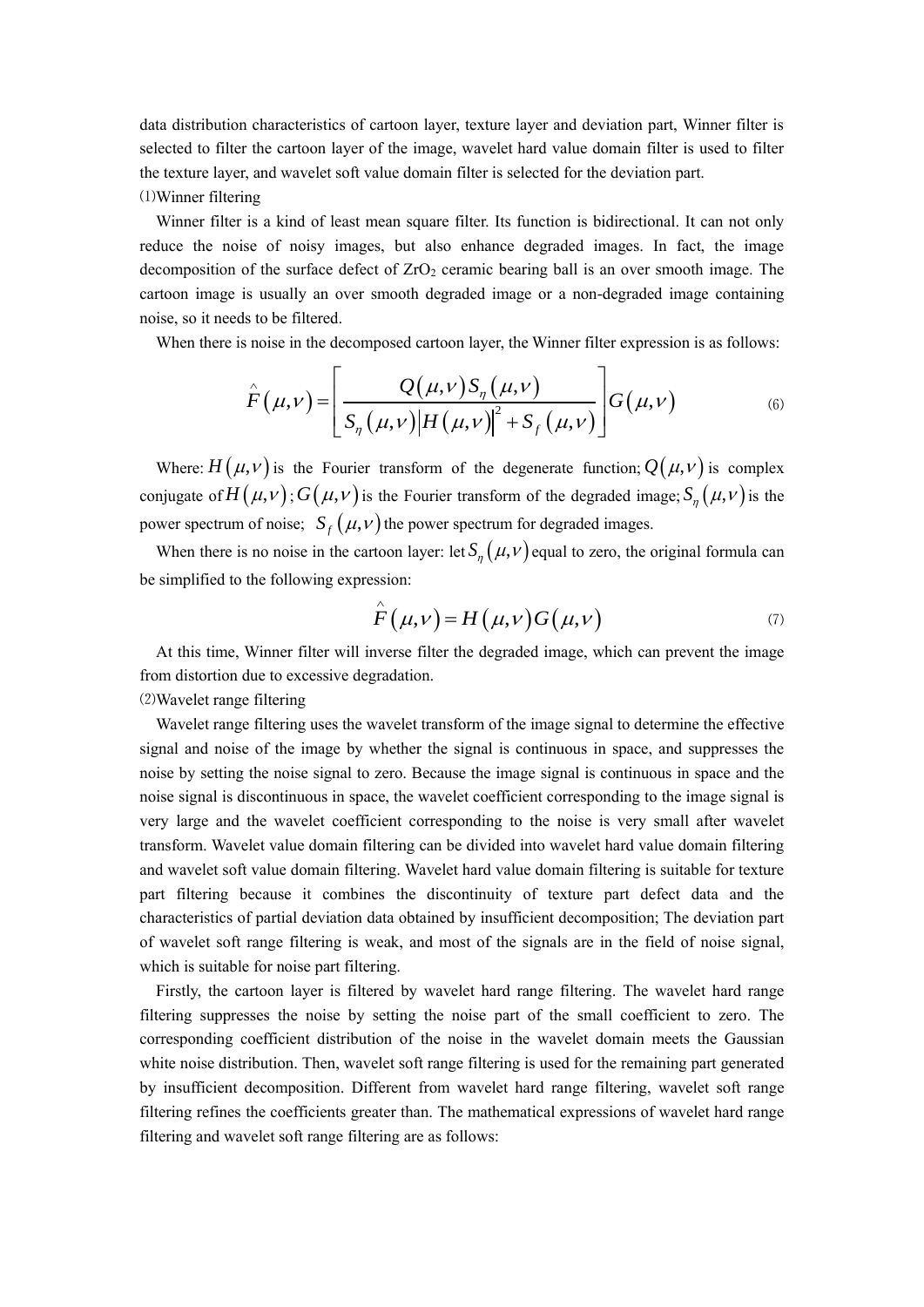data distribution characteristics of cartoon layer, texture layer and deviation part, Winner filter is selected to filter the cartoon layer of the image, wavelet hard value domain filter is used to filter the texture layer, and wavelet soft value domain filter is selected for the deviation part. ⑴Winner filtering

Winner filter is a kind of least mean square filter. Its function is bidirectional. It can not only reduce the noise of noisy images, but also enhance degraded images. In fact, the image decomposition of the surface defect of  $ZrO<sub>2</sub>$  ceramic bearing ball is an over smooth image. The cartoon image is usually an over smooth degraded image or a non-degraded image containing noise, so it needs to be filtered.

When there is noise in the decomposed carton layer, the Winner filter expression is as follows:  
\n
$$
\hat{F}(\mu, v) = \left[ \frac{Q(\mu, v) S_{\eta}(\mu, v)}{S_{\eta}(\mu, v) |H(\mu, v)|^2 + S_{f}(\mu, v)} \right] G(\mu, v)
$$
\n(6)

Where:  $H(\mu, \nu)$  is the Fourier transform of the degenerate function;  $Q(\mu, \nu)$  is complex conjugate of  $H(\mu, \nu)$ ;  $G(\mu, \nu)$  is the Fourier transform of the degraded image;  $S_n(\mu, \nu)$  is the power spectrum of noise;  $S_f(\mu, \nu)$  the power spectrum for degraded images.

When there is no noise in the cartoon layer: let  $S_{\eta}(\mu, \nu)$  equal to zero, the original formula can be simplified to the following expression:

$$
\hat{F}(\mu, \nu) = H(\mu, \nu)G(\mu, \nu) \tag{7}
$$

At this time, Winner filter will inverse filter the degraded image, which can prevent the image from distortion due to excessive degradation.

⑵Wavelet range filtering

Wavelet range filtering uses the wavelet transform of the image signal to determine the effective signal and noise of the image by whether the signal is continuous in space, and suppresses the noise by setting the noise signal to zero. Because the image signal is continuous in space and the noise signal is discontinuous in space, the wavelet coefficient corresponding to the image signal is very large and the wavelet coefficient corresponding to the noise is very small after wavelet transform. Wavelet value domain filtering can be divided into wavelet hard value domain filtering and wavelet soft value domain filtering. Wavelet hard value domain filtering is suitable for texture part filtering because it combines the discontinuity of texture part defect data and the characteristics of partial deviation data obtained by insufficient decomposition; The deviation part of wavelet soft range filtering is weak, and most of the signals are in the field of noise signal, which is suitable for noise part filtering.

Firstly, the cartoon layer is filtered by wavelet hard range filtering. The wavelet hard range filtering suppresses the noise by setting the noise part of the small coefficient to zero. The corresponding coefficient distribution of the noise in the wavelet domain meets the Gaussian white noise distribution. Then, wavelet soft range filtering is used for the remaining part generated by insufficient decomposition. Different from wavelet hard range filtering, wavelet soft range filtering refines the coefficients greater than. The mathematical expressions of wavelet hard range filtering and wavelet soft range filtering are as follows: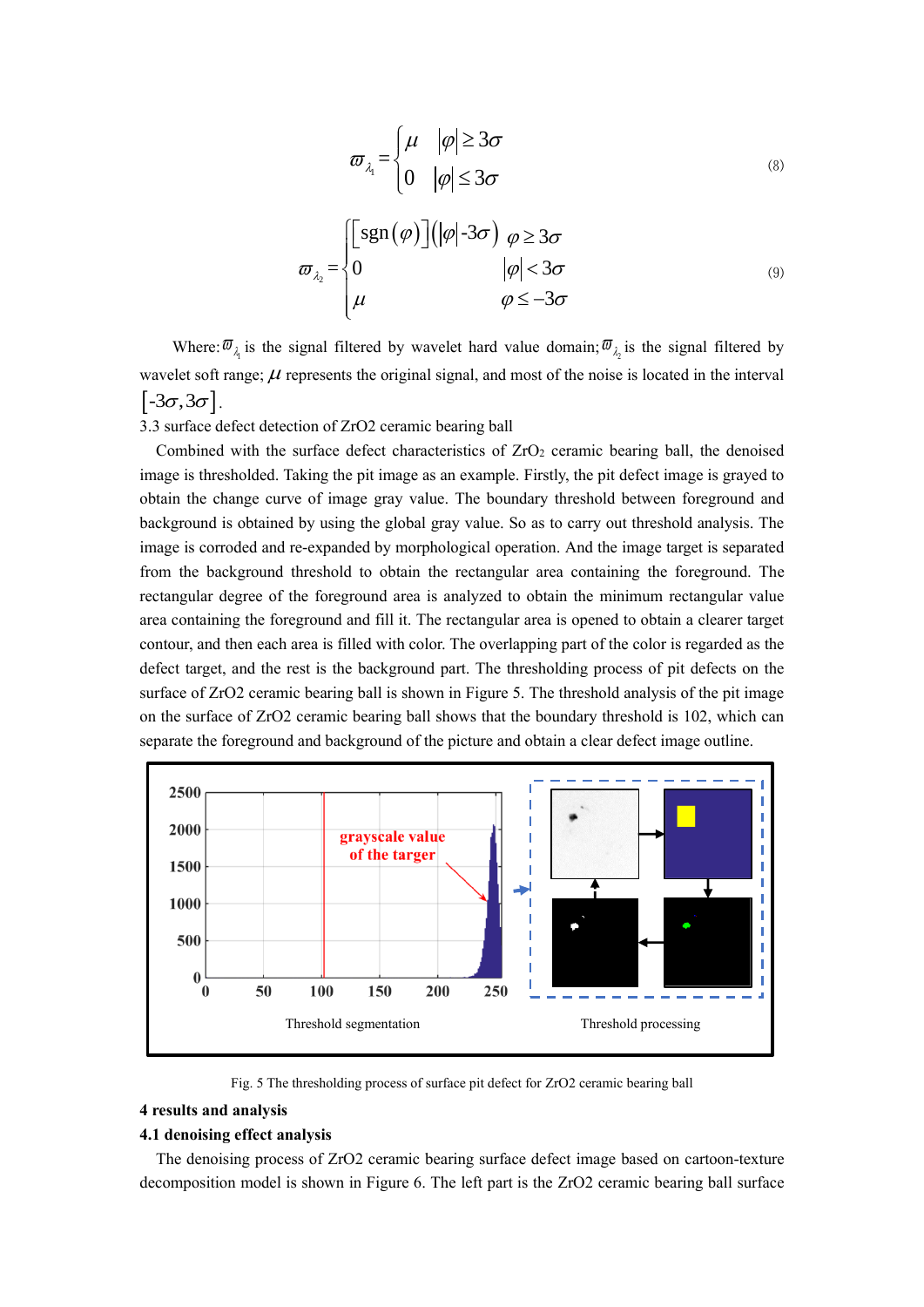$$
\varpi_{\lambda_i} = \begin{cases} \mu & |\varphi| \ge 3\sigma \\ 0 & |\varphi| \le 3\sigma \end{cases}
$$
\n(8)

$$
\varpi_{\lambda_2} = \begin{cases}\n\begin{bmatrix}\n\operatorname{sgn}(\varphi)\n\end{bmatrix}\n\begin{bmatrix}\n\varphi\end{bmatrix}\n-3\sigma\n\end{cases}\n\varphi < 3\sigma\n\end{cases}
$$
\n
$$
\varphi \leq -3\sigma
$$
\n(9)

Where:  $\overline{\omega}_{\lambda_1}$  is the signal filtered by wavelet hard value domain;  $\overline{\omega}_{\lambda_2}$  is the signal filtered by wavelet soft range;  $\mu$  represents the original signal, and most of the noise is located in the interval  $[-3\sigma, 3\sigma]$ .

3.3 surface defect detection of ZrO2 ceramic bearing ball

Combined with the surface defect characteristics of  $ZrO<sub>2</sub>$  ceramic bearing ball, the denoised image is thresholded. Taking the pit image as an example. Firstly, the pit defect image is grayed to obtain the change curve of image gray value. The boundary threshold between foreground and background is obtained by using the global gray value. So as to carry out threshold analysis. The image is corroded and re-expanded by morphological operation. And the image target is separated from the background threshold to obtain the rectangular area containing the foreground. The rectangular degree of the foreground area is analyzed to obtain the minimum rectangular value area containing the foreground and fill it. The rectangular area is opened to obtain a clearer target contour, and then each area is filled with color. The overlapping part of the color is regarded as the defect target, and the rest is the background part. The thresholding process of pit defects on the surface of ZrO2 ceramic bearing ball is shown in Figure 5. The threshold analysis of the pit image on the surface of ZrO2 ceramic bearing ball shows that the boundary threshold is 102, which can separate the foreground and background of the picture and obtain a clear defect image outline.



Fig. 5 The thresholding process of surface pit defect for ZrO2 ceramic bearing ball

# **4 results and analysis**

## **4.1 denoising effect analysis**

The denoising process of ZrO2 ceramic bearing surface defect image based on cartoon-texture decomposition model is shown in Figure 6. The left part is the ZrO2 ceramic bearing ball surface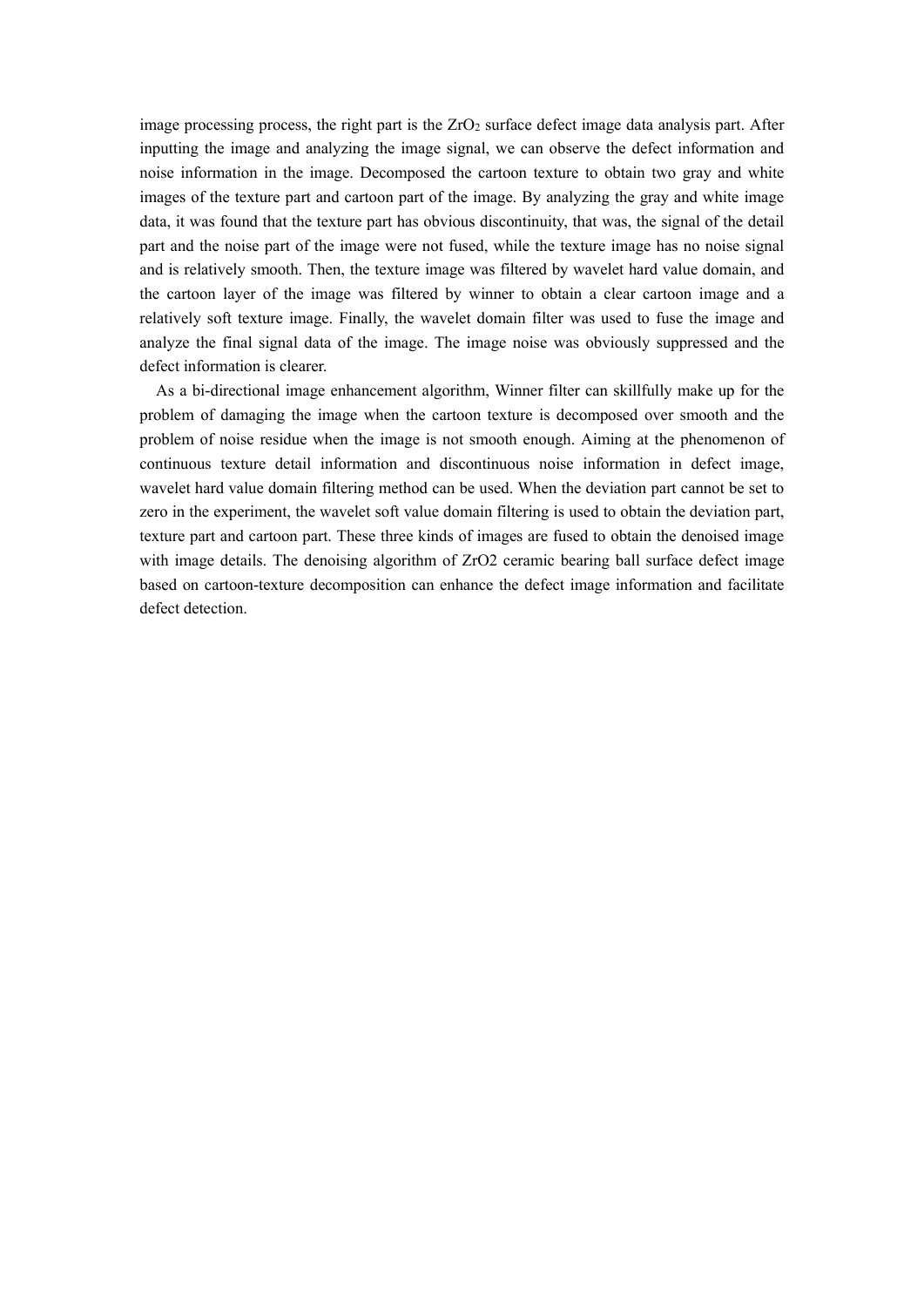image processing process, the right part is the ZrO<sub>2</sub> surface defect image data analysis part. After inputting the image and analyzing the image signal, we can observe the defect information and noise information in the image. Decomposed the cartoon texture to obtain two gray and white images of the texture part and cartoon part of the image. By analyzing the gray and white image data, it was found that the texture part has obvious discontinuity, that was, the signal of the detail part and the noise part of the image were not fused, while the texture image has no noise signal and is relatively smooth. Then, the texture image was filtered by wavelet hard value domain, and the cartoon layer of the image was filtered by winner to obtain a clear cartoon image and a relatively soft texture image. Finally, the wavelet domain filter was used to fuse the image and analyze the final signal data of the image. The image noise was obviously suppressed and the defect information is clearer.

As a bi-directional image enhancement algorithm, Winner filter can skillfully make up for the problem of damaging the image when the cartoon texture is decomposed over smooth and the problem of noise residue when the image is not smooth enough. Aiming at the phenomenon of continuous texture detail information and discontinuous noise information in defect image, wavelet hard value domain filtering method can be used. When the deviation part cannot be set to zero in the experiment, the wavelet soft value domain filtering is used to obtain the deviation part, texture part and cartoon part. These three kinds of images are fused to obtain the denoised image with image details. The denoising algorithm of ZrO2 ceramic bearing ball surface defect image based on cartoon-texture decomposition can enhance the defect image information and facilitate defect detection.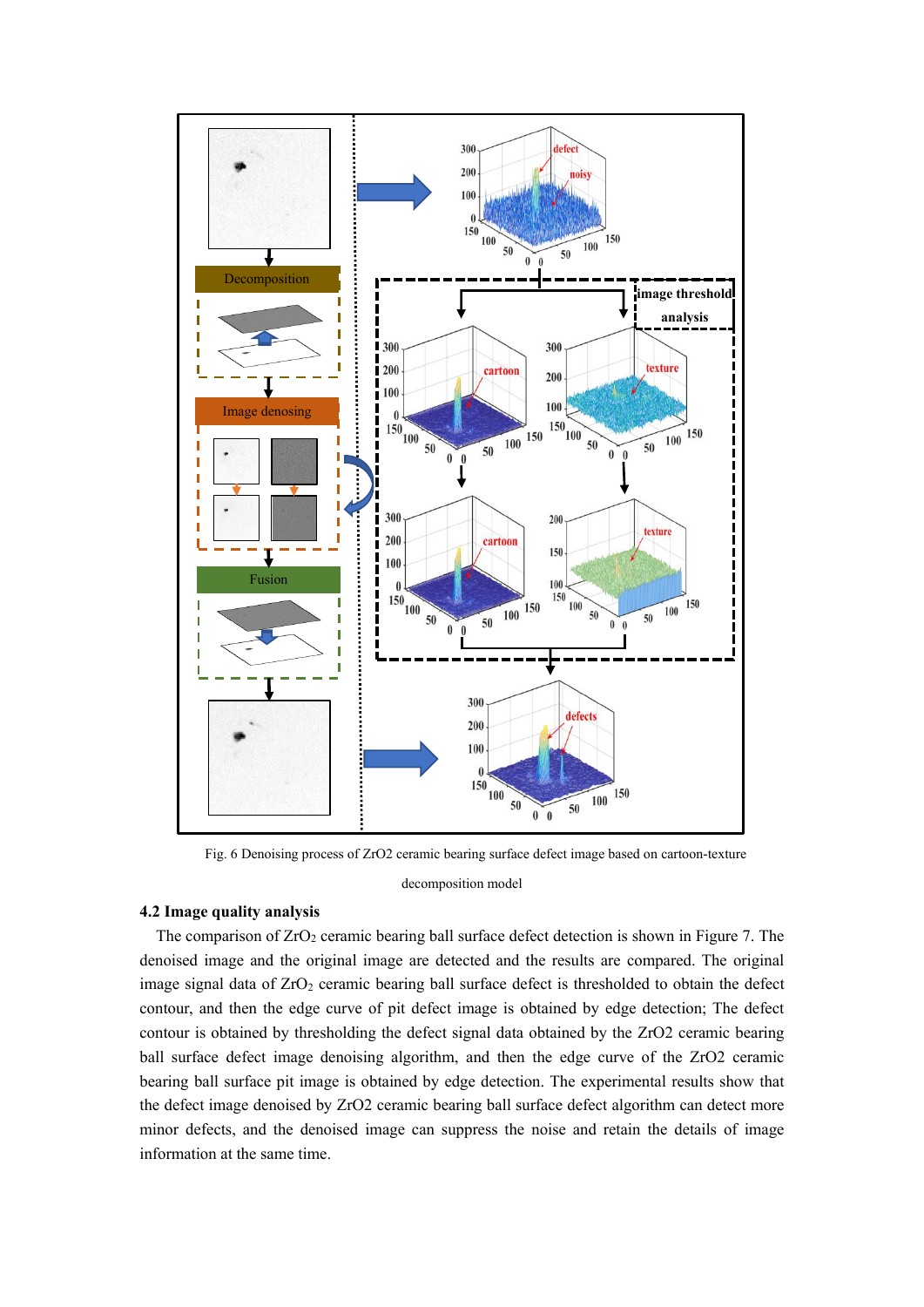

Fig. 6 Denoising process of ZrO2 ceramic bearing surface defect image based on cartoon-texture

decomposition model

# **4.2 Image quality analysis**

The comparison of  $ZrO<sub>2</sub>$  ceramic bearing ball surface defect detection is shown in Figure 7. The denoised image and the original image are detected and the results are compared. The original image signal data of  $ZrO<sub>2</sub>$  ceramic bearing ball surface defect is thresholded to obtain the defect contour, and then the edge curve of pit defect image is obtained by edge detection; The defect contour is obtained by thresholding the defect signal data obtained by the ZrO2 ceramic bearing ball surface defect image denoising algorithm, and then the edge curve of the ZrO2 ceramic bearing ball surface pit image is obtained by edge detection. The experimental results show that the defect image denoised by ZrO2 ceramic bearing ball surface defect algorithm can detect more minor defects, and the denoised image can suppress the noise and retain the details of image information at the same time.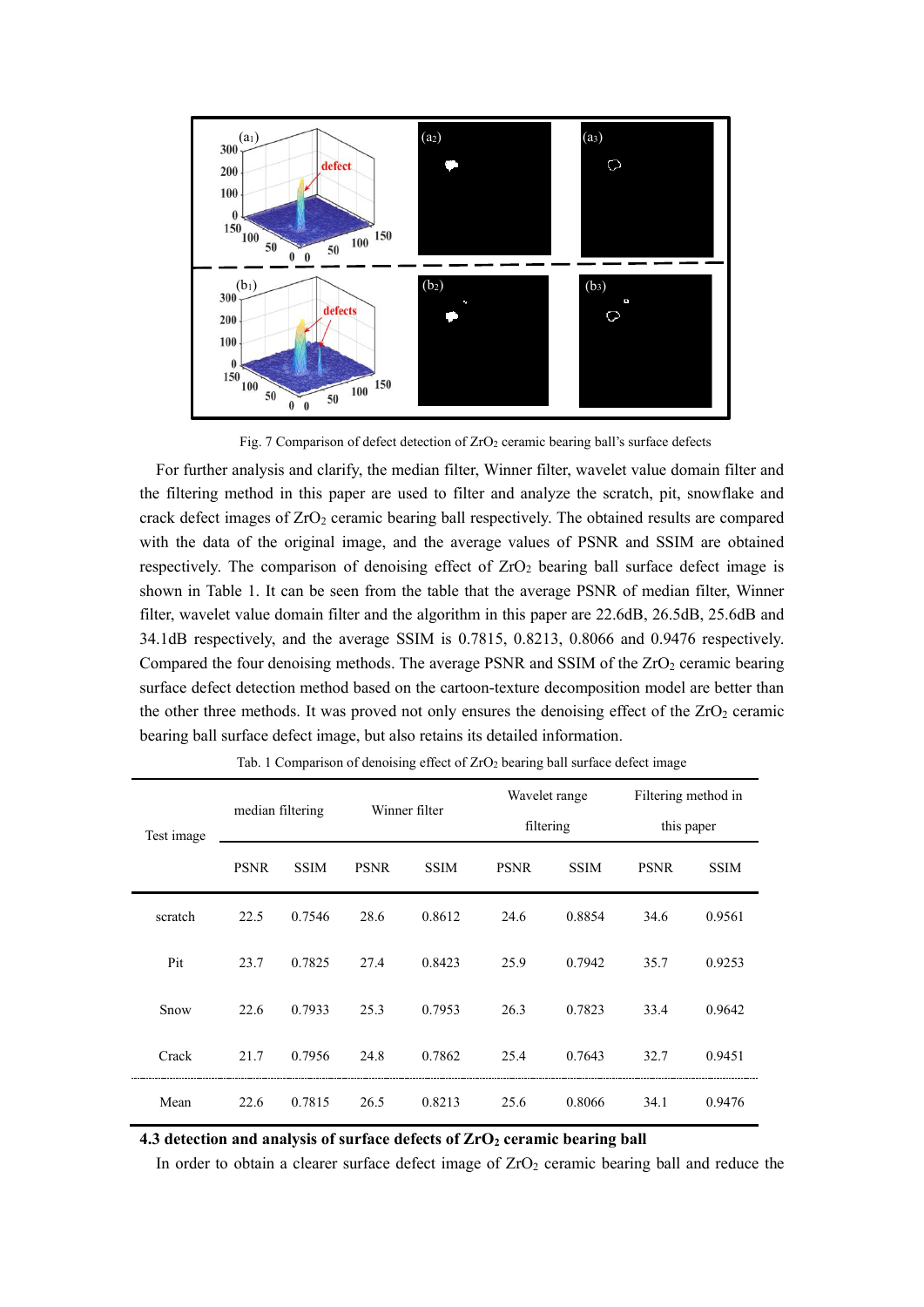

Fig. 7 Comparison of defect detection of ZrO<sub>2</sub> ceramic bearing ball's surface defects

For further analysis and clarify, the median filter, Winner filter, wavelet value domain filter and the filtering method in this paper are used to filter and analyze the scratch, pit, snowflake and crack defect images of  $ZrO<sub>2</sub>$  ceramic bearing ball respectively. The obtained results are compared with the data of the original image, and the average values of PSNR and SSIM are obtained respectively. The comparison of denoising effect of  $ZrO<sub>2</sub>$  bearing ball surface defect image is shown in Table 1. It can be seen from the table that the average PSNR of median filter, Winner filter, wavelet value domain filter and the algorithm in this paper are 22.6dB, 26.5dB, 25.6dB and 34.1dB respectively, and the average SSIM is 0.7815, 0.8213, 0.8066 and 0.9476 respectively. Compared the four denoising methods. The average PSNR and SSIM of the ZrO<sub>2</sub> ceramic bearing surface defect detection method based on the cartoon-texture decomposition model are better than the other three methods. It was proved not only ensures the denoising effect of the  $ZrO<sub>2</sub>$  ceramic bearing ball surface defect image, but also retains its detailed information.

| Test image | median filtering |             | Winner filter |             | Wavelet range |             | Filtering method in |             |
|------------|------------------|-------------|---------------|-------------|---------------|-------------|---------------------|-------------|
|            |                  |             |               |             | filtering     |             | this paper          |             |
|            | <b>PSNR</b>      | <b>SSIM</b> | <b>PSNR</b>   | <b>SSIM</b> | <b>PSNR</b>   | <b>SSIM</b> | <b>PSNR</b>         | <b>SSIM</b> |
| scratch    | 22.5             | 0.7546      | 28.6          | 0.8612      | 24.6          | 0.8854      | 34.6                | 0.9561      |
| Pit        | 23.7             | 0.7825      | 27.4          | 0.8423      | 25.9          | 0.7942      | 35.7                | 0.9253      |
| Snow       | 22.6             | 0.7933      | 25.3          | 0.7953      | 26.3          | 0.7823      | 33.4                | 0.9642      |
| Crack      | 21.7             | 0.7956      | 24.8          | 0.7862      | 25.4          | 0.7643      | 32.7                | 0.9451      |
| Mean       | 22.6             | 0.7815      | 26.5          | 0.8213      | 25.6          | 0.8066      | 34.1                | 0.9476      |

Tab. 1 Comparison of denoising effect of ZrO<sub>2</sub> bearing ball surface defect image

**4.3 detection and analysis of surface defects of ZrO<sup>2</sup> ceramic bearing ball**

In order to obtain a clearer surface defect image of  $ZrO<sub>2</sub>$  ceramic bearing ball and reduce the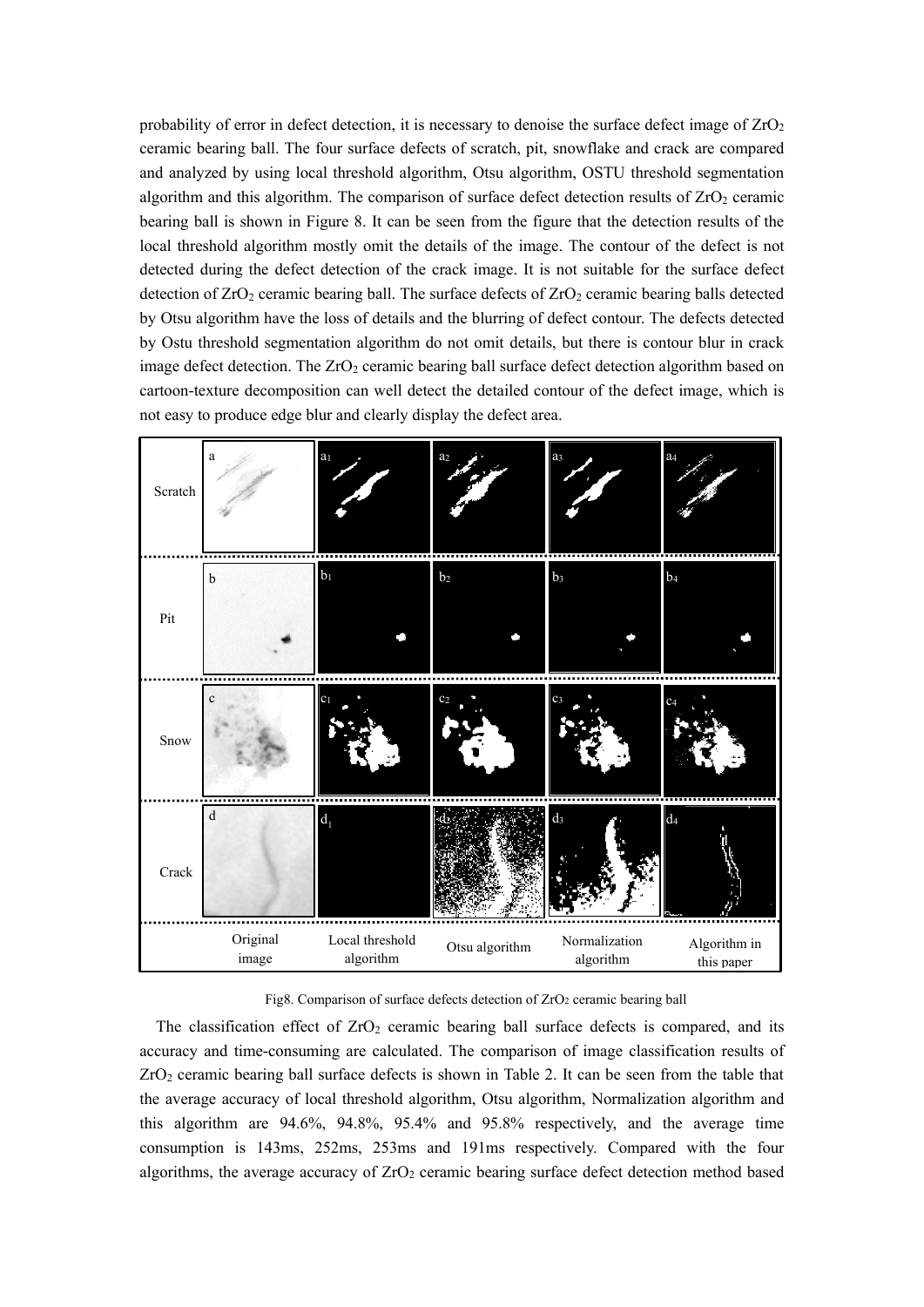probability of error in defect detection, it is necessary to denoise the surface defect image of  $ZrO<sub>2</sub>$ ceramic bearing ball. The four surface defects of scratch, pit, snowflake and crack are compared and analyzed by using local threshold algorithm, Otsu algorithm, OSTU threshold segmentation algorithm and this algorithm. The comparison of surface defect detection results of  $ZrO<sub>2</sub>$  ceramic bearing ball is shown in Figure 8. It can be seen from the figure that the detection results of the local threshold algorithm mostly omit the details of the image. The contour of the defect is not detected during the defect detection of the crack image. It is not suitable for the surface defect detection of  $ZrO<sub>2</sub>$  ceramic bearing ball. The surface defects of  $ZrO<sub>2</sub>$  ceramic bearing balls detected by Otsu algorithm have the loss of details and the blurring of defect contour. The defects detected by Ostu threshold segmentation algorithm do not omit details, but there is contour blur in crack image defect detection. The  $ZrO<sub>2</sub>$  ceramic bearing ball surface defect detection algorithm based on cartoon-texture decomposition can well detect the detailed contour of the defect image, which is not easy to produce edge blur and clearly display the defect area.



Fig8. Comparison of surface defects detection of ZrO2 ceramic bearing ball

The classification effect of  $ZrO<sub>2</sub>$  ceramic bearing ball surface defects is compared, and its accuracy and time-consuming are calculated. The comparison of image classification results of ZrO<sup>2</sup> ceramic bearing ball surface defects is shown in Table 2. It can be seen from the table that the average accuracy of local threshold algorithm, Otsu algorithm, Normalization algorithm and this algorithm are 94.6%, 94.8%, 95.4% and 95.8% respectively, and the average time consumption is 143ms, 252ms, 253ms and 191ms respectively. Compared with the four algorithms, the average accuracy of  $ZrO<sub>2</sub>$  ceramic bearing surface defect detection method based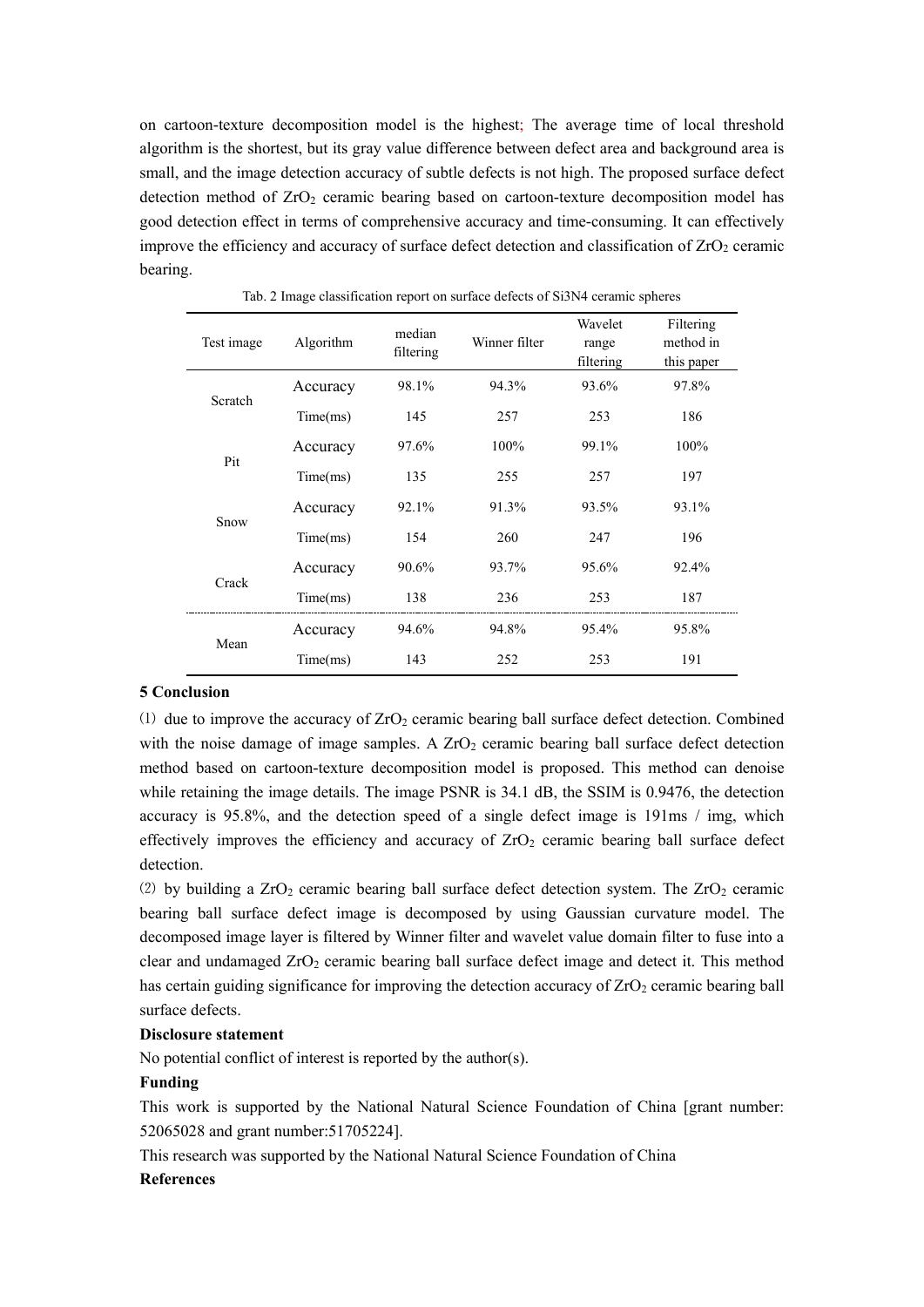on cartoon-texture decomposition model is the highest; The average time of local threshold algorithm is the shortest, but its gray value difference between defect area and background area is small, and the image detection accuracy of subtle defects is not high. The proposed surface defect detection method of ZrO<sub>2</sub> ceramic bearing based on cartoon-texture decomposition model has good detection effect in terms of comprehensive accuracy and time-consuming. It can effectively improve the efficiency and accuracy of surface defect detection and classification of  $ZrO<sub>2</sub>$  ceramic bearing.

| Test image | Algorithm | median<br>filtering | Winner filter | Wavelet<br>range<br>filtering | Filtering<br>method in<br>this paper |
|------------|-----------|---------------------|---------------|-------------------------------|--------------------------------------|
| Scratch    | Accuracy  | 98.1%               | 94.3%         | 93.6%                         | 97.8%                                |
|            | Time(ms)  | 145                 | 257           | 253                           | 186                                  |
| Pit        | Accuracy  | 97.6%               | $100\%$       | 99.1%                         | 100%                                 |
|            | Time(ms)  | 135                 | 255           | 257                           | 197                                  |
| Snow       | Accuracy  | $92.1\%$            | 91.3%         | 93.5%                         | 93.1%                                |
|            | Time(ms)  | 154                 | 260           | 247                           | 196                                  |
|            | Accuracy  | 90.6%               | 93.7%         | $95.6\%$                      | 92.4%                                |
| Crack      | Time(ms)  | 138                 | 236           | 253                           | 187                                  |
|            | Accuracy  | 94.6%               | 94.8%         | 95.4%                         | 95.8%                                |
| Mean       | Time(ms)  | 143                 | 252           | 253                           | 191                                  |

Tab. 2 Image classification report on surface defects of Si3N4 ceramic spheres

# **5 Conclusion**

 $(1)$  due to improve the accuracy of  $ZrO<sub>2</sub>$  ceramic bearing ball surface defect detection. Combined with the noise damage of image samples. A  $ZrO<sub>2</sub>$  ceramic bearing ball surface defect detection method based on cartoon-texture decomposition model is proposed. This method can denoise while retaining the image details. The image PSNR is 34.1 dB, the SSIM is 0.9476, the detection accuracy is 95.8%, and the detection speed of a single defect image is 191ms / img, which effectively improves the efficiency and accuracy of  $ZrO<sub>2</sub>$  ceramic bearing ball surface defect detection.

(2) by building a  $ZrO_2$  ceramic bearing ball surface defect detection system. The  $ZrO_2$  ceramic bearing ball surface defect image is decomposed by using Gaussian curvature model. The decomposed image layer is filtered by Winner filter and wavelet value domain filter to fuse into a clear and undamaged  $ZrO<sub>2</sub>$  ceramic bearing ball surface defect image and detect it. This method has certain guiding significance for improving the detection accuracy of  $ZrO<sub>2</sub>$  ceramic bearing ball surface defects.

# **Disclosure statement**

No potential conflict of interest is reported by the author(s).

# **Funding**

This work is supported by the National Natural Science Foundation of China [grant number: 52065028 and grant number:51705224].

This research was supported by the National Natural Science Foundation of China

#### **References**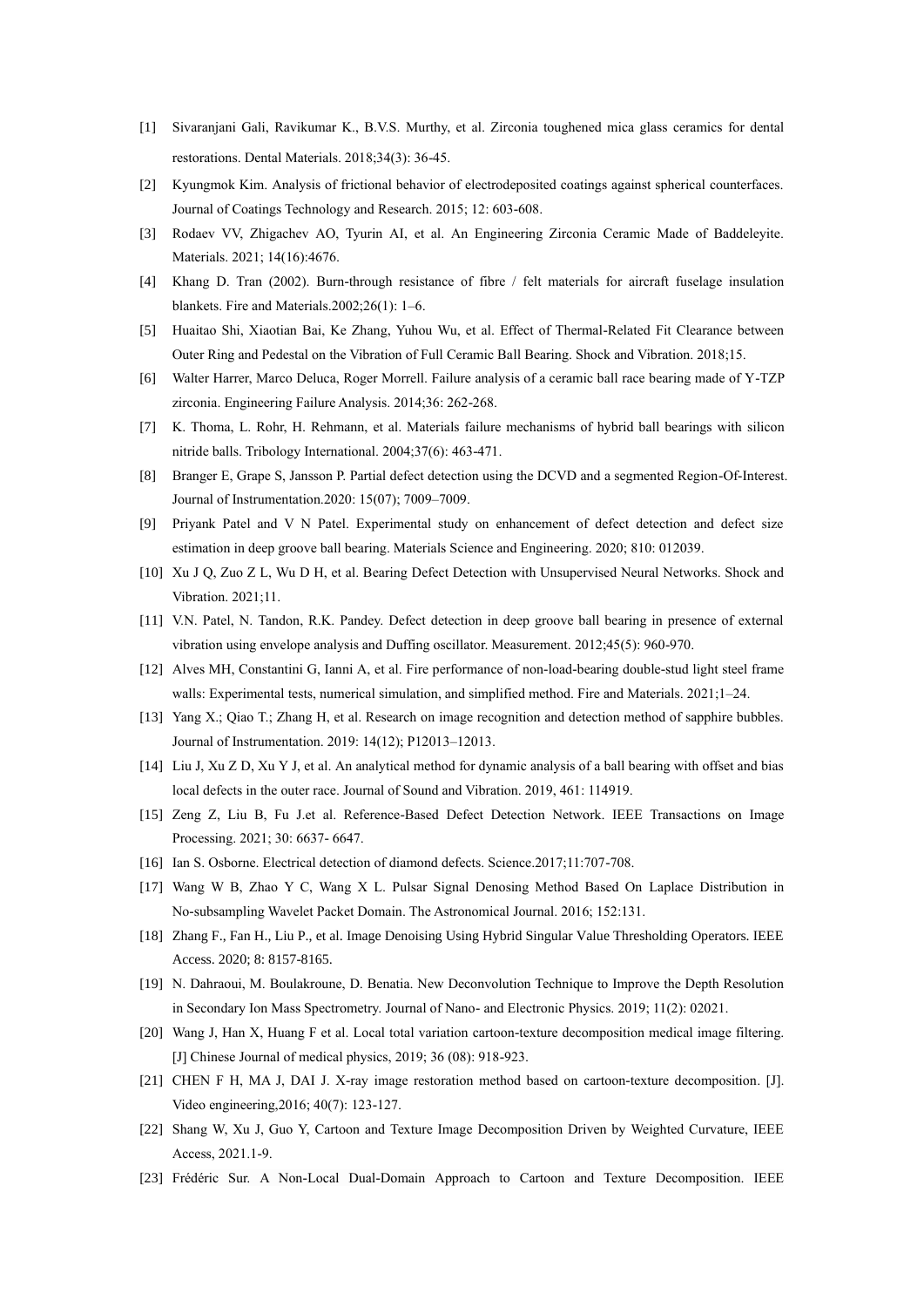- [1] Sivaranjani Gali, Ravikumar K., B.V.S. Murthy, et al. Zirconia toughened mica glass ceramics for dental restorations. Dental Materials. 2018;34(3): 36-45.
- [2] Kyungmok Kim. Analysis of frictional behavior of electrodeposited coatings against spherical counterfaces. Journal of Coatings Technology and Research. 2015; 12: 603-608.
- [3] Rodaev VV, Zhigachev AO, Tyurin AI, et al. An Engineering Zirconia Ceramic Made of Baddeleyite. Materials. 2021; 14(16):4676.
- [4] Khang D. Tran (2002). Burn-through resistance of fibre / felt materials for aircraft fuselage insulation blankets. Fire and Materials.2002;26(1): 1–6.
- [5] Huaitao Shi, Xiaotian Bai, Ke Zhang, Yuhou Wu, et al. Effect of Thermal-Related Fit Clearance between Outer Ring and Pedestal on the Vibration of Full Ceramic Ball Bearing. Shock and Vibration. 2018;15.
- [6] Walter Harrer, Marco Deluca, Roger Morrell. Failure analysis of a ceramic ball race bearing made of Y-TZP zirconia. Engineering Failure Analysis. 2014;36: 262-268.
- [7] K. Thoma, L. Rohr, H. Rehmann, et al. Materials failure mechanisms of hybrid ball bearings with silicon nitride balls. Tribology International. 2004;37(6): 463-471.
- [8] Branger E, Grape S, Jansson P. Partial defect detection using the DCVD and a segmented Region-Of-Interest. Journal of Instrumentation.2020: 15(07); 7009–7009.
- [9] Priyank Patel and V N Patel. Experimental study on enhancement of defect detection and defect size estimation in deep groove ball bearing. Materials Science and Engineering. 2020; 810: 012039.
- [10] Xu J Q, Zuo Z L, Wu D H, et al. Bearing Defect Detection with Unsupervised Neural Networks. Shock and Vibration. 2021;11.
- [11] V.N. Patel, N. Tandon, R.K. Pandey. Defect detection in deep groove ball bearing in presence of external vibration using envelope analysis and Duffing oscillator. Measurement. 2012;45(5): 960-970.
- [12] Alves MH, Constantini G, Ianni A, et al. Fire performance of non-load-bearing double-stud light steel frame walls: Experimental tests, numerical simulation, and simplified method. Fire and Materials. 2021;1–24.
- [13] Yang X.; Qiao T.; Zhang H, et al. Research on image recognition and detection method of sapphire bubbles. Journal of Instrumentation. 2019: 14(12); P12013–12013.
- [14] Liu J, Xu Z D, Xu Y J, et al. An analytical method for dynamic analysis of a ball bearing with offset and bias local defects in the outer race. Journal of Sound and Vibration. 2019, 461: 114919.
- [15] Zeng Z, Liu B, Fu J.et al. Reference-Based Defect Detection Network. IEEE Transactions on Image Processing. 2021; 30: 6637- 6647.
- [16] Ian S. Osborne. Electrical detection of diamond defects. Science.2017;11:707-708.
- [17] Wang W B, Zhao Y C, Wang X L. Pulsar Signal Denosing Method Based On Laplace Distribution in No-subsampling Wavelet Packet Domain. The Astronomical Journal. 2016; 152:131.
- [18] Zhang F., Fan H., Liu P., et al. Image Denoising Using Hybrid Singular Value Thresholding Operators. IEEE Access. 2020; 8: 8157-8165.
- [19] N. Dahraoui, M. Boulakroune, D. Benatia. New Deconvolution Technique to Improve the Depth Resolution in Secondary Ion Mass Spectrometry. Journal of Nano- and Electronic Physics. 2019; 11(2): 02021.
- [20] Wang J, Han X, Huang F et al. Local total variation cartoon-texture decomposition medical image filtering. [J] Chinese Journal of medical physics, 2019; 36 (08): 918-923.
- [21] CHEN F H, MA J, DAI J. X-ray image restoration method based on cartoon-texture decomposition. [J]. Video engineering,2016; 40(7): 123-127.
- [22] Shang W, Xu J, Guo Y, Cartoon and Texture Image Decomposition Driven by Weighted Curvature, IEEE Access, 2021.1-9.
- [23] Frédéric Sur. A Non-Local Dual-Domain Approach to Cartoon and Texture Decomposition. IEEE